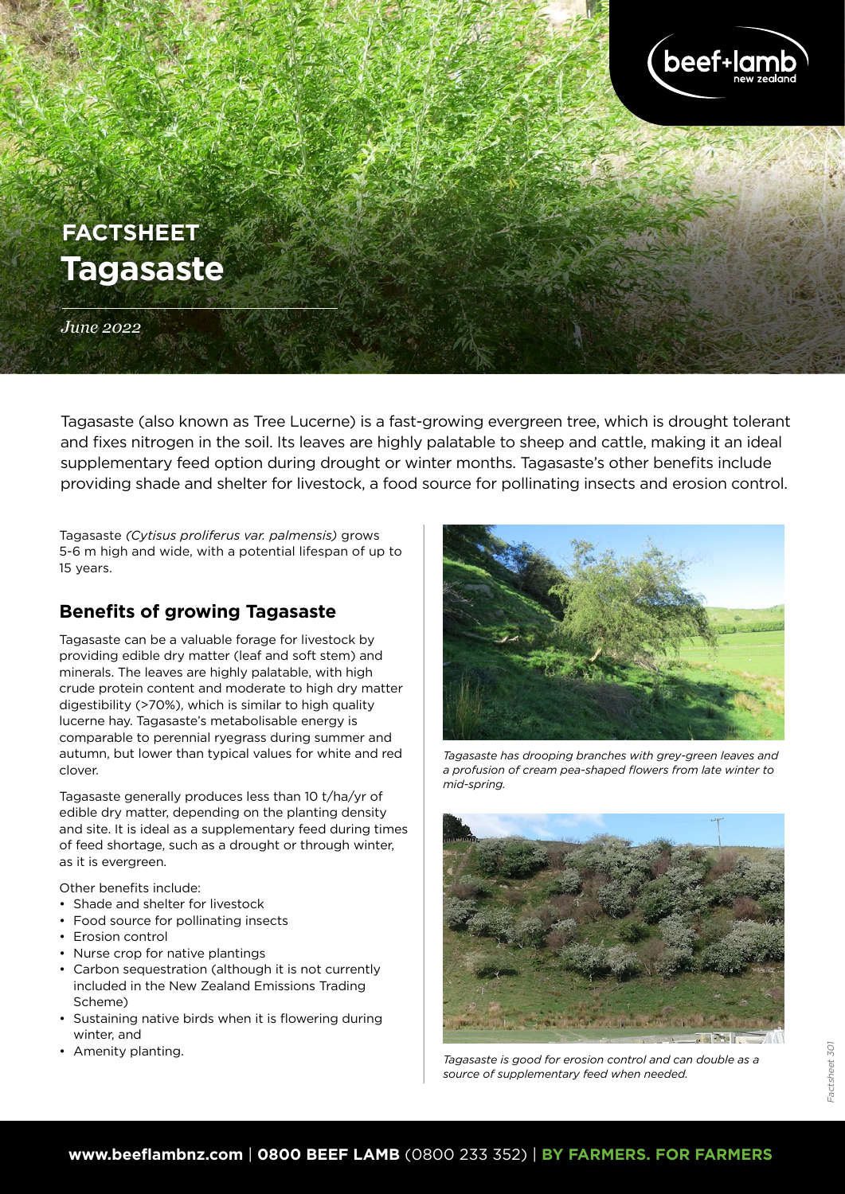

# **Tagasaste FACTSHEET**

*June 2022*

Tagasaste (also known as Tree Lucerne) is a fast-growing evergreen tree, which is drought tolerant and fixes nitrogen in the soil. Its leaves are highly palatable to sheep and cattle, making it an ideal supplementary feed option during drought or winter months. Tagasaste's other benefits include providing shade and shelter for livestock, a food source for pollinating insects and erosion control.

Tagasaste *(Cytisus proliferus var. palmensis)* grows 5-6 m high and wide, with a potential lifespan of up to 15 years.

# **Benefits of growing Tagasaste**

Tagasaste can be a valuable forage for livestock by providing edible dry matter (leaf and soft stem) and minerals. The leaves are highly palatable, with high crude protein content and moderate to high dry matter digestibility (>70%), which is similar to high quality lucerne hay. Tagasaste's metabolisable energy is comparable to perennial ryegrass during summer and autumn, but lower than typical values for white and red clover.

Tagasaste generally produces less than 10 t/ha/yr of edible dry matter, depending on the planting density and site. It is ideal as a supplementary feed during times of feed shortage, such as a drought or through winter, as it is evergreen.

Other benefits include:

- Shade and shelter for livestock
- Food source for pollinating insects
- Erosion control
- Nurse crop for native plantings
- Carbon sequestration (although it is not currently included in the New Zealand Emissions Trading Scheme)
- Sustaining native birds when it is flowering during winter, and
- Amenity planting.



*Tagasaste has drooping branches with grey-green leaves and a profusion of cream pea-shaped flowers from late winter to mid-spring.*



Factsheet 301

Factsheet 301

*Tagasaste is good for erosion control and can double as a source of supplementary feed when needed.*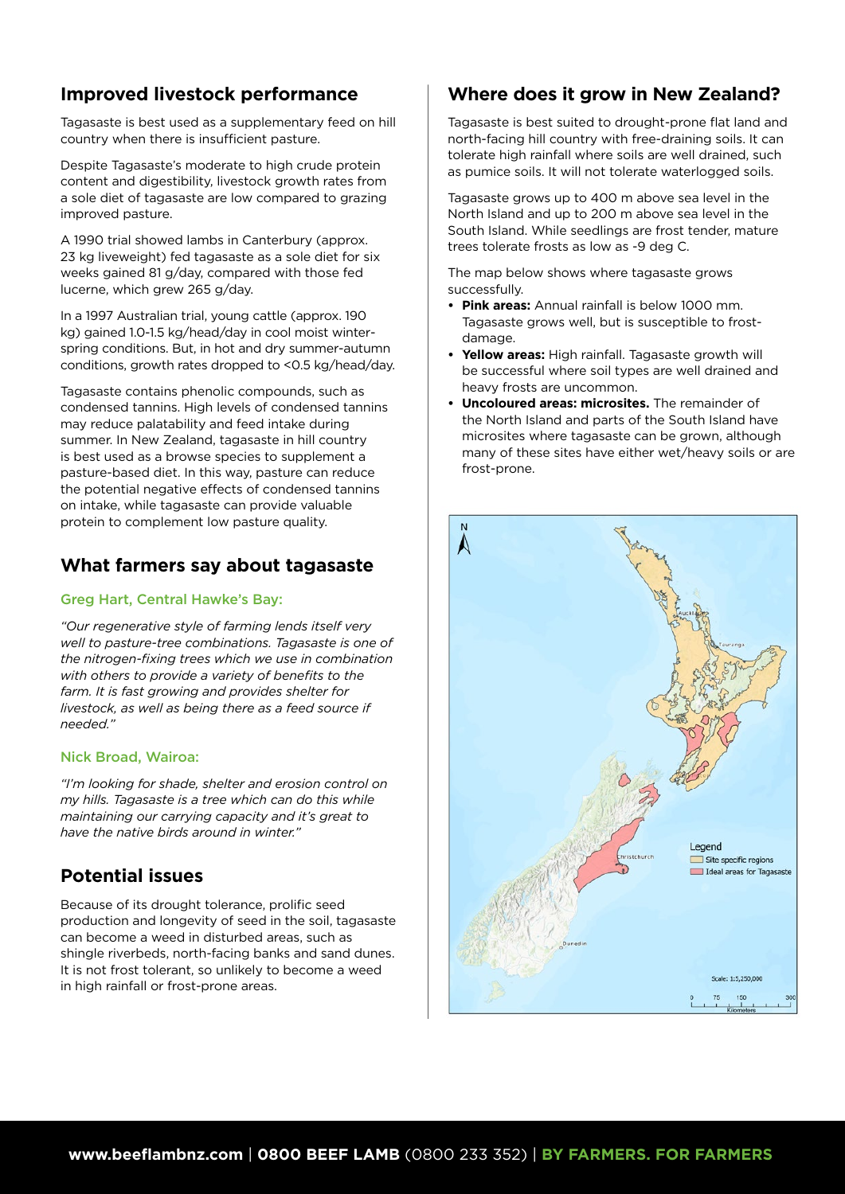# **Improved livestock performance**

Tagasaste is best used as a supplementary feed on hill country when there is insufficient pasture.

Despite Tagasaste's moderate to high crude protein content and digestibility, livestock growth rates from a sole diet of tagasaste are low compared to grazing improved pasture.

A 1990 trial showed lambs in Canterbury (approx. 23 kg liveweight) fed tagasaste as a sole diet for six weeks gained 81 g/day, compared with those fed lucerne, which grew 265 g/day.

In a 1997 Australian trial, young cattle (approx. 190 kg) gained 1.0-1.5 kg/head/day in cool moist winterspring conditions. But, in hot and dry summer-autumn conditions, growth rates dropped to <0.5 kg/head/day.

Tagasaste contains phenolic compounds, such as condensed tannins. High levels of condensed tannins may reduce palatability and feed intake during summer. In New Zealand, tagasaste in hill country is best used as a browse species to supplement a pasture-based diet. In this way, pasture can reduce the potential negative effects of condensed tannins on intake, while tagasaste can provide valuable protein to complement low pasture quality.

# **What farmers say about tagasaste**

## Greg Hart, Central Hawke's Bay:

*"Our regenerative style of farming lends itself very well to pasture-tree combinations. Tagasaste is one of the nitrogen-fixing trees which we use in combination with others to provide a variety of benefits to the farm. It is fast growing and provides shelter for livestock, as well as being there as a feed source if needed."* 

## Nick Broad, Wairoa:

*"I'm looking for shade, shelter and erosion control on my hills. Tagasaste is a tree which can do this while maintaining our carrying capacity and it's great to have the native birds around in winter."*

# **Potential issues**

Because of its drought tolerance, prolific seed production and longevity of seed in the soil, tagasaste can become a weed in disturbed areas, such as shingle riverbeds, north-facing banks and sand dunes. It is not frost tolerant, so unlikely to become a weed in high rainfall or frost-prone areas.

# **Where does it grow in New Zealand?**

Tagasaste is best suited to drought-prone flat land and north-facing hill country with free-draining soils. It can tolerate high rainfall where soils are well drained, such as pumice soils. It will not tolerate waterlogged soils.

Tagasaste grows up to 400 m above sea level in the North Island and up to 200 m above sea level in the South Island. While seedlings are frost tender, mature trees tolerate frosts as low as -9 deg C.

The map below shows where tagasaste grows successfully.

- **• Pink areas:** Annual rainfall is below 1000 mm. Tagasaste grows well, but is susceptible to frostdamage.
- **• Yellow areas:** High rainfall. Tagasaste growth will be successful where soil types are well drained and heavy frosts are uncommon.
- **• Uncoloured areas: microsites.** The remainder of the North Island and parts of the South Island have microsites where tagasaste can be grown, although many of these sites have either wet/heavy soils or are frost-prone.

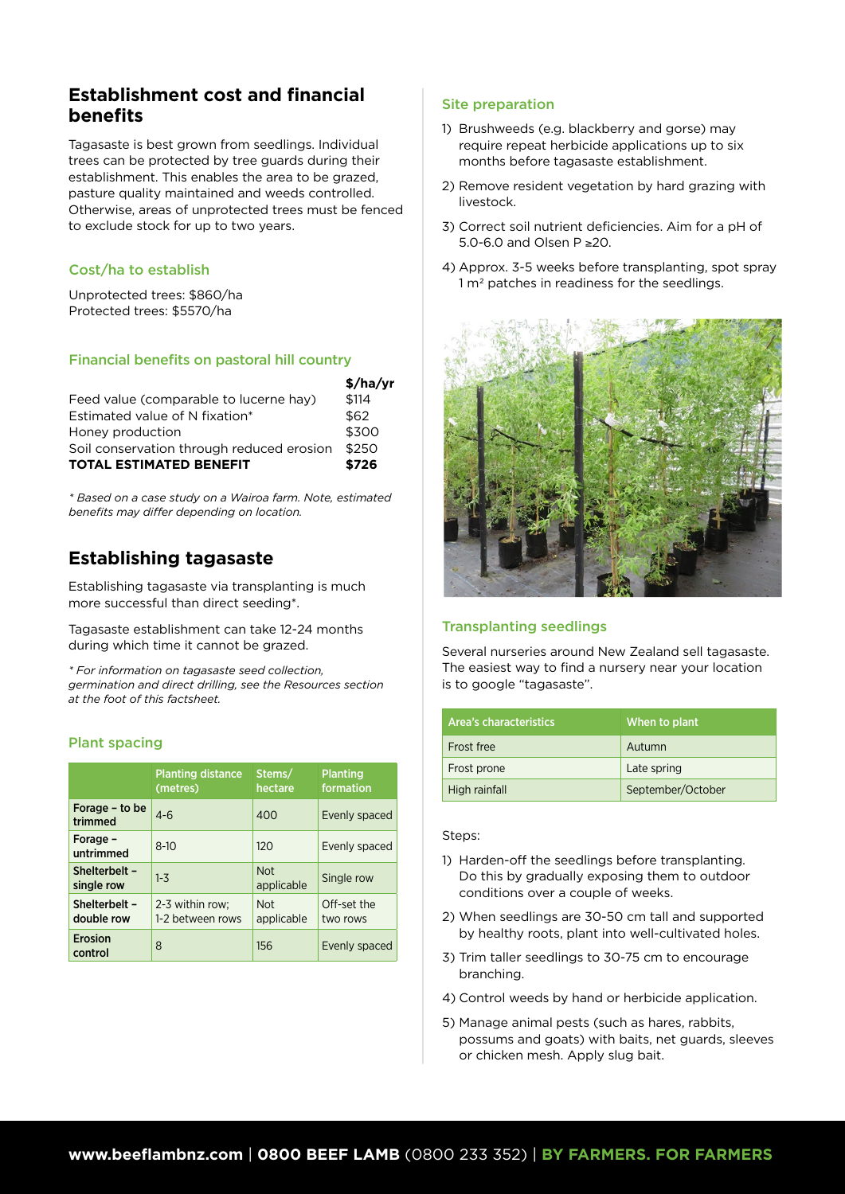# **Establishment cost and financial benefits**

Tagasaste is best grown from seedlings. Individual trees can be protected by tree guards during their establishment. This enables the area to be grazed, pasture quality maintained and weeds controlled. Otherwise, areas of unprotected trees must be fenced to exclude stock for up to two years.

### Cost/ha to establish

Unprotected trees: \$860/ha Protected trees: \$5570/ha

## Financial benefits on pastoral hill country

|                                           | \$/ha/yr |
|-------------------------------------------|----------|
| Feed value (comparable to lucerne hay)    | \$114    |
| Estimated value of N fixation*            | \$62     |
| Honey production                          | \$300    |
| Soil conservation through reduced erosion | \$250    |
| <b>TOTAL ESTIMATED BENEFIT</b>            | \$726    |

*\* Based on a case study on a Wairoa farm. Note, estimated benefits may differ depending on location.*

# **Establishing tagasaste**

Establishing tagasaste via transplanting is much more successful than direct seeding\*.

Tagasaste establishment can take 12-24 months during which time it cannot be grazed.

*\* For information on tagasaste seed collection, germination and direct drilling, see the Resources section at the foot of this factsheet.* 

#### Plant spacing

|                             | <b>Planting distance</b><br>(metres) | Stems/<br>hectare        | <b>Planting</b><br>formation |
|-----------------------------|--------------------------------------|--------------------------|------------------------------|
| Forage - to be<br>trimmed   | $4 - 6$                              | 400                      | Evenly spaced                |
| Forage -<br>untrimmed       | $8-10$                               | 120                      | Evenly spaced                |
| Shelterbelt -<br>single row | $1 - 3$                              | <b>Not</b><br>applicable | Single row                   |
| Shelterbelt -<br>double row | 2-3 within row;<br>1-2 between rows  | <b>Not</b><br>applicable | Off-set the<br>two rows      |
| Erosion<br>control          | 8                                    | 156                      | Evenly spaced                |

## Site preparation

- 1) Brushweeds (e.g. blackberry and gorse) may require repeat herbicide applications up to six months before tagasaste establishment.
- 2) Remove resident vegetation by hard grazing with livestock.
- 3) Correct soil nutrient deficiencies. Aim for a pH of 5.0-6.0 and Olsen P ≥20.
- 4) Approx. 3-5 weeks before transplanting, spot spray 1 m<sup>2</sup> patches in readiness for the seedlings.



## Transplanting seedlings

Several nurseries around New Zealand sell tagasaste. The easiest way to find a nursery near your location is to google "tagasaste".

| Area's characteristics | When to plant     |
|------------------------|-------------------|
| Frost free             | Autumn            |
| Frost prone            | Late spring       |
| High rainfall          | September/October |

#### Steps:

- 1) Harden-off the seedlings before transplanting. Do this by gradually exposing them to outdoor conditions over a couple of weeks.
- 2) When seedlings are 30-50 cm tall and supported by healthy roots, plant into well-cultivated holes.
- 3) Trim taller seedlings to 30-75 cm to encourage branching.
- 4) Control weeds by hand or herbicide application.
- 5) Manage animal pests (such as hares, rabbits, possums and goats) with baits, net guards, sleeves or chicken mesh. Apply slug bait.